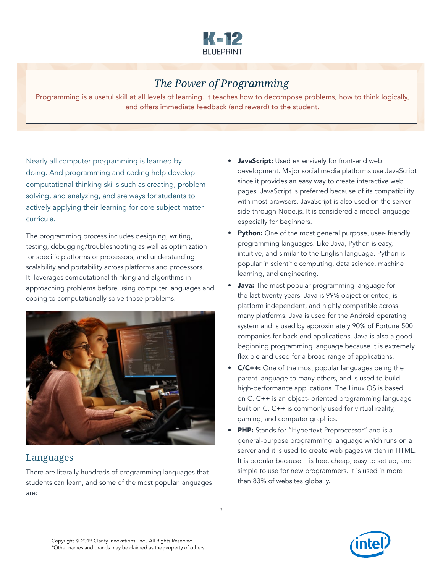

## *The Power of Programming*

Programming is a useful skill at all levels of learning. It teaches how to decompose problems, how to think logically, and offers immediate feedback (and reward) to the student.

Nearly all computer programming is learned by doing. And programming and coding help develop computational thinking skills such as creating, problem solving, and analyzing, and are ways for students to actively applying their learning for core subject matter curricula.

The programming process includes designing, writing, testing, debugging/troubleshooting as well as optimization for specific platforms or processors, and understanding scalability and portability across platforms and processors. It leverages computational thinking and algorithms in approaching problems before using computer languages and coding to computationally solve those problems.



## Languages

There are literally hundreds of programming languages that students can learn, and some of the most popular languages are:

- **JavaScript:** Used extensively for front-end web development. Major social media platforms use JavaScript since it provides an easy way to create interactive web pages. JavaScript is preferred because of its compatibility with most browsers. JavaScript is also used on the serverside through Node.js. It is considered a model language especially for beginners.
- Python: One of the most general purpose, user-friendly programming languages. Like Java, Python is easy, intuitive, and similar to the English language. Python is popular in scientific computing, data science, machine learning, and engineering.
- **Java:** The most popular programming language for the last twenty years. Java is 99% object-oriented, is platform independent, and highly compatible across many platforms. Java is used for the Android operating system and is used by approximately 90% of Fortune 500 companies for back-end applications. Java is also a good beginning programming language because it is extremely flexible and used for a broad range of applications.
- **C/C++:** One of the most popular languages being the parent language to many others, and is used to build high-performance applications. The Linux OS is based on C. C++ is an object- oriented programming language built on C. C++ is commonly used for virtual reality, gaming, and computer graphics.
- PHP: Stands for "Hypertext Preprocessor" and is a general-purpose programming language which runs on a server and it is used to create web pages written in HTML. It is popular because it is free, cheap, easy to set up, and simple to use for new programmers. It is used in more than 83% of websites globally.